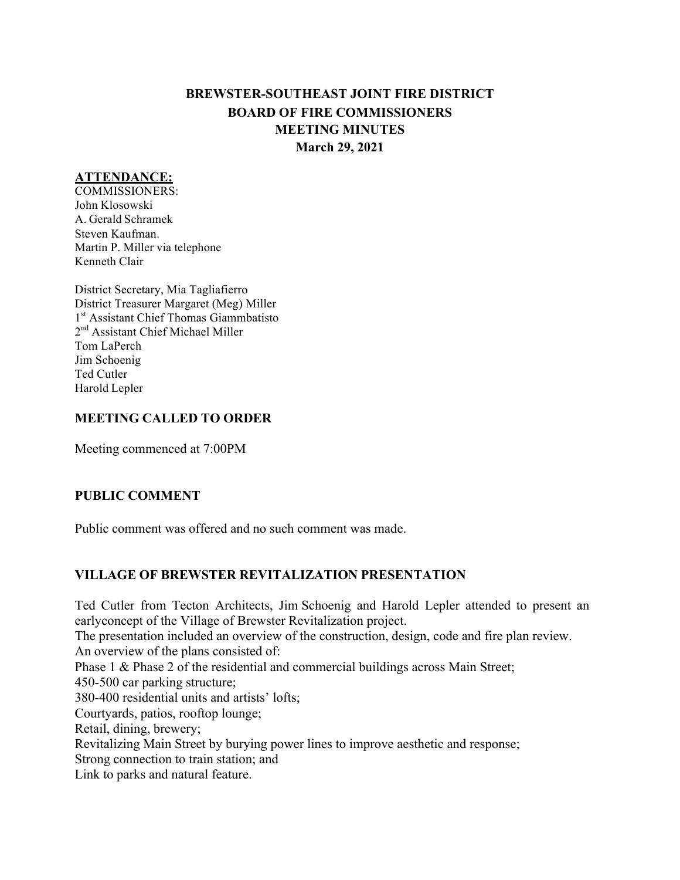# **BREWSTER-SOUTHEAST JOINT FIRE DISTRICT BOARD OF FIRE COMMISSIONERS MEETING MINUTES March 29, 2021**

# **ATTENDANCE:**

COMMISSIONERS: John Klosowski A. Gerald Schramek Steven Kaufman. Martin P. Miller via telephone Kenneth Clair

District Secretary, Mia Tagliafierro District Treasurer Margaret (Meg) Miller 1<sup>st</sup> Assistant Chief Thomas Giammbatisto 2<sup>nd</sup> Assistant Chief Michael Miller Tom LaPerch Jim Schoenig Ted Cutler Harold Lepler

#### **MEETING CALLED TO ORDER**

Meeting commenced at 7:00PM

#### **PUBLIC COMMENT**

Public comment was offered and no such comment was made.

# **VILLAGE OF BREWSTER REVITALIZATION PRESENTATION**

Ted Cutler from Tecton Architects, Jim Schoenig and Harold Lepler attended to present an earlyconcept of the Village of Brewster Revitalization project. The presentation included an overview of the construction, design, code and fire plan review. An overview of the plans consisted of: Phase 1 & Phase 2 of the residential and commercial buildings across Main Street; 450-500 car parking structure; 380-400 residential units and artists' lofts; Courtyards, patios, rooftop lounge; Retail, dining, brewery; Revitalizing Main Street by burying power lines to improve aesthetic and response; Strong connection to train station; and Link to parks and natural feature.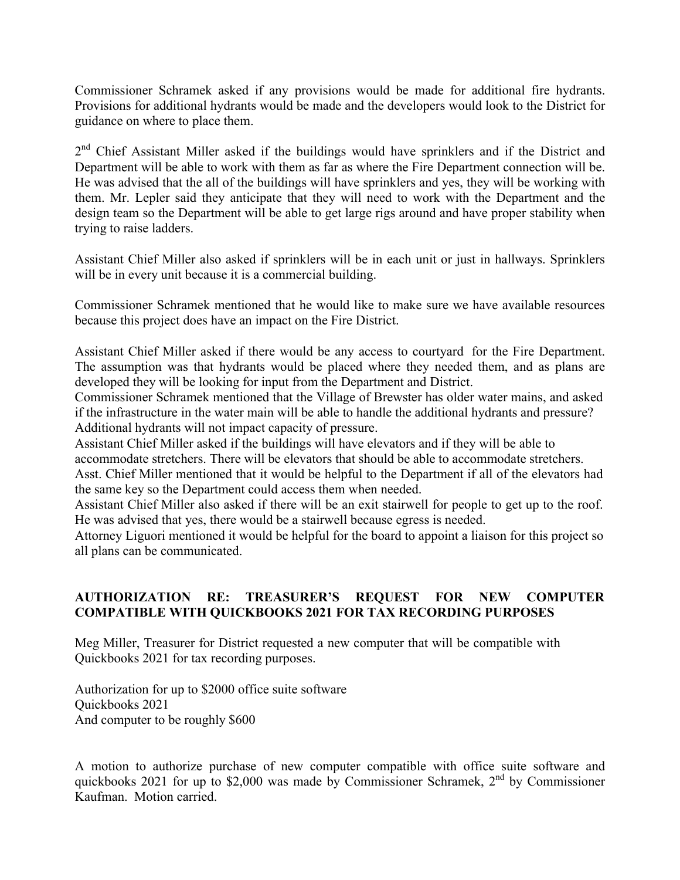Commissioner Schramek asked if any provisions would be made for additional fire hydrants. Provisions for additional hydrants would be made and the developers would look to the District for guidance on where to place them.

2<sup>nd</sup> Chief Assistant Miller asked if the buildings would have sprinklers and if the District and Department will be able to work with them as far as where the Fire Department connection will be. He was advised that the all of the buildings will have sprinklers and yes, they will be working with them. Mr. Lepler said they anticipate that they will need to work with the Department and the design team so the Department will be able to get large rigs around and have proper stability when trying to raise ladders.

Assistant Chief Miller also asked if sprinklers will be in each unit or just in hallways. Sprinklers will be in every unit because it is a commercial building.

Commissioner Schramek mentioned that he would like to make sure we have available resources because this project does have an impact on the Fire District.

Assistant Chief Miller asked if there would be any access to courtyard for the Fire Department. The assumption was that hydrants would be placed where they needed them, and as plans are developed they will be looking for input from the Department and District.

Commissioner Schramek mentioned that the Village of Brewster has older water mains, and asked if the infrastructure in the water main will be able to handle the additional hydrants and pressure? Additional hydrants will not impact capacity of pressure.

Assistant Chief Miller asked if the buildings will have elevators and if they will be able to

accommodate stretchers. There will be elevators that should be able to accommodate stretchers.

Asst. Chief Miller mentioned that it would be helpful to the Department if all of the elevators had the same key so the Department could access them when needed.

Assistant Chief Miller also asked if there will be an exit stairwell for people to get up to the roof. He was advised that yes, there would be a stairwell because egress is needed.

Attorney Liguori mentioned it would be helpful for the board to appoint a liaison for this project so all plans can be communicated.

# **AUTHORIZATION RE: TREASURER'S REQUEST FOR NEW COMPUTER COMPATIBLE WITH QUICKBOOKS 2021 FOR TAX RECORDING PURPOSES**

Meg Miller, Treasurer for District requested a new computer that will be compatible with Quickbooks 2021 for tax recording purposes.

Authorization for up to \$2000 office suite software Quickbooks 2021 And computer to be roughly \$600

A motion to authorize purchase of new computer compatible with office suite software and quickbooks 2021 for up to \$2,000 was made by Commissioner Schramek,  $2^{nd}$  by Commissioner Kaufman. Motion carried.